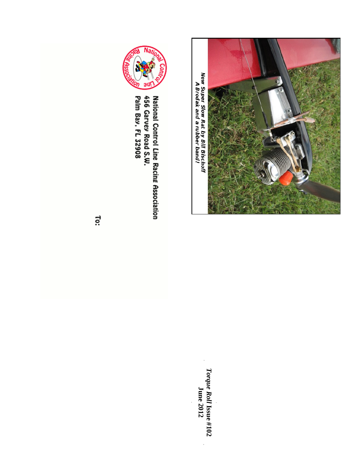

New Super Slow Rat by Bill Bischoff<br>A Brodak and a rubber band!

*Torq u e R oll* **Issu e #10 2 J u n e 2 012**

 $\overline{\phantom{a}}$ 



456 Garvey Road S.W.<br>Palm Bay, FL 32908 **National Control Line Racing Association** 

Ĩö: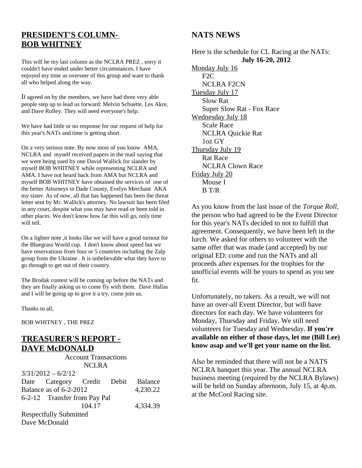# **PRESIDENT'S COLUMN-BOB WHITNEY**

This will be my last column as the NCLRA PREZ , sorry it couldn't have ended under better circumstances. I have enjoyed my time as overseer of this group and want to thank all who helped along the way.

If agreed on by the members, we have had three very able people step up to lead us forward: Melvin Schuette, Les Akre, and Dave Rolley. They will need everyone's help.

We have had little or no response for our request of help for this year's NATs and time is getting short.

On a very serious note. By now most of you know AMA, NCLRA and myself received papers in the mail saying that we were being sued by one David Wallick for slander by myself BOB WHITNEY while representing NCLRA and AMA. I have not heard back from AMA but NCLRA and myself BOB WHITNEY have obtained the services of one of the better Attorneys in Dade County, Evelyn Merchant AKA my sister. As of now, all that has happened has been the threat letter sent by Mr. Wallick's attorney. No lawsuit has been filed in any court, despite what you may have read or been told in other places. We don't know how far this will go, only time will tell.

On a lighter note ,it looks like we will have a good turnout for the Bluegrass World cup. I don't know about speed but we have reservations from four or 5 countries including the Zalp group from the Ukraine . It is unbelievable what they have to go through to get out of their country.

The Brodak contest will be coming up before the NATs and they are finally asking us to come fly with them. Dave Hallas and I will be going up to give it a try, come join us.

Thanks to all,

BOB WHITNEY , THE PREZ

# **TREASURER'S REPORT - DAVE McDONALD**

| <b>Account Transactions</b>        |                            |        |  |                |  |
|------------------------------------|----------------------------|--------|--|----------------|--|
|                                    |                            | NCLRA  |  |                |  |
|                                    | $3/31/2012 - 6/2/12$       |        |  |                |  |
|                                    | Date Category Credit Debit |        |  | <b>Balance</b> |  |
| Balance as of 6-2-2012<br>4,230.22 |                            |        |  |                |  |
| 6-2-12 Transfer from Pay Pal       |                            |        |  |                |  |
|                                    |                            | 104.17 |  | 4,334.39       |  |
| <b>Respectfully Submitted</b>      |                            |        |  |                |  |
| Dave McDonald                      |                            |        |  |                |  |

# **NATS NEWS**

Here is the schedule for CL Racing at the NATs: **July 16-20, 2012** Monday July 16 F2C NCLRA F2CN Tuesday July 17 Slow Rat Super Slow Rat - Fox Race Wednesday July 18 Scale Race NCLRA Quickie Rat 1oz GY Thursday July 19 Rat Race NCLRA Clown Race Friday July 20 Mouse I B T/R

As you know from the last issue of the *Torque Roll*, the person who had agreed to be the Event Director for this year's NATs decided to not to fulfill that agreement. Consequently, we have been left in the lurch. We asked for others to volunteer with the same offer that was made (and accepted) by our original ED: come and run the NATs and all proceeds after expenses for the trophies for the unofficial events will be yours to spend as you see fit.

Unfortunately, no takers. As a result, we will not have an over-all Event Director, but will have directors for each day. We have volunteers for Monday, Thursday and Friday. We still need volunteers for Tuesday and Wednesday. **If you're available on either of those days, let me (Bill Lee) know asap and we'll get your name on the list.**

Also be reminded that there will not be a NATS NCLRA banquet this year. The annual NCLRA business meeting (required by the NCLRA Bylaws) will be held on Sunday afternoon, July 15, at 4p.m. at the McCool Racing site.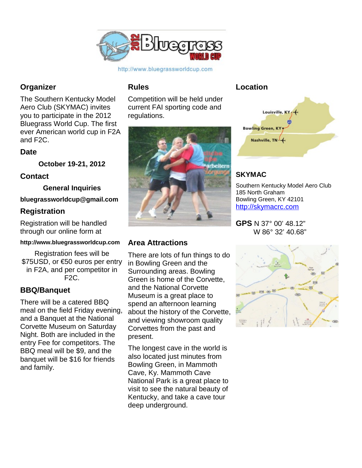

# http://www.bluegrassworldcup.com

# **Organizer**

The Southern Kentucky Model Aero Club (SKYMAC) invites you to participate in the 2012 Bluegrass World Cup. The first ever American world cup in F2A and F2C.

# **Date**

**October 19-21, 2012**

# **Contact**

**General Inquiries**

# **bluegrassworldcup@gmail.com**

# **Registration**

Registration will be handled through our online form at

# **http://www.bluegrassworldcup.com**

Registration fees will be \$75USD, or €50 euros per entry in F2A, and per competitor in F2C.

# **BBQ/Banquet**

There will be a catered BBQ meal on the field Friday evening, and a Banquet at the National Corvette Museum on Saturday Night. Both are included in the entry Fee for competitors. The BBQ meal will be \$9, and the banquet will be \$16 for friends and family.

# **Rules**

Competition will be held under current FAI sporting code and regulations.



# **Area Attractions**

There are lots of fun things to do in Bowling Green and the Surrounding areas. Bowling Green is home of the Corvette, and the National Corvette Museum is a great place to spend an afternoon learning about the history of the Corvette, and viewing showroom quality Corvettes from the past and present.

The longest cave in the world is also located just minutes from Bowling Green, in Mammoth Cave, Ky. Mammoth Cave National Park is a great place to visit to see the natural beauty of Kentucky, and take a cave tour deep underground.

# **Location**



# **SKYMAC**

Southern Kentucky Model Aero Club 185 North Graham Bowling Green, KY 42101 [http://skymacrc.com](http://skymacrc.com/)

**GPS** N 37° 00' 48.12" W 86° 32' 40.68"

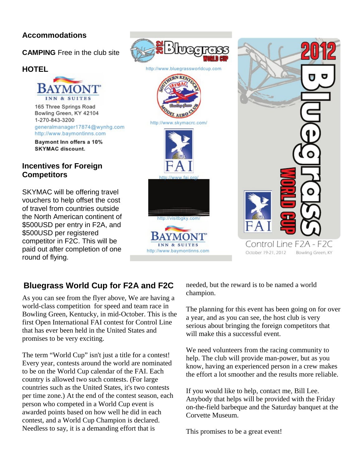# **Accommodations**

**CAMPING** Free in the club site

# **HOTEL**



Bowling Green, KY 42104 1-270-843-3200 generalmanager17874@wynhg.com http://www.baymontinns.com

Baymont Inn offers a 10% **SKYMAC** discount.

# **Incentives for Foreign Competitors**

SKYMAC will be offering travel vouchers to help offset the cost of travel from countries outside the North American continent of \$500USD per entry in F2A, and \$500USD per registered competitor in F2C. This will be paid out after completion of one round of flying.





# **Bluegrass World Cup for F2A and F2C**

As you can see from the flyer above, We are having a world-class competition for speed and team race in Bowling Green, Kentucky, in mid-October. This is the first Open International FAI contest for Control Line that has ever been held in the United States and promises to be very exciting.

The term "World Cup" isn't just a title for a contest! Every year, contests around the world are nominated to be on the World Cup calendar of the FAI. Each country is allowed two such contests. (For large countries such as the United States, it's two contests per time zone.) At the end of the contest season, each person who competed in a World Cup event is awarded points based on how well he did in each contest, and a World Cup Champion is declared. Needless to say, it is a demanding effort that is

needed, but the reward is to be named a world champion.

The planning for this event has been going on for over a year, and as you can see, the host club is very serious about bringing the foreign competitors that will make this a successful event.

We need volunteers from the racing community to help. The club will provide man-power, but as you know, having an experienced person in a crew makes the effort a lot smoother and the results more reliable.

If you would like to help, contact me, Bill Lee. Anybody that helps will be provided with the Friday on-the-field barbeque and the Saturday banquet at the Corvette Museum.

This promises to be a great event!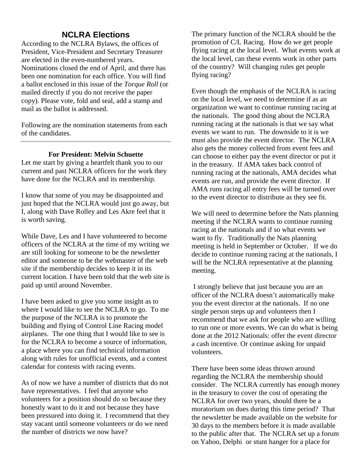# **NCLRA Elections**

According to the NCLRA Bylaws, the offices of President, Vice-President and Secretary Treasurer are elected in the even-numbered years. Nominations closed the end of April, and there has been one nomination for each office. You will find a ballot enclosed in this issue of the *Torque Roll* (or mailed directly if you do not receive the paper copy). Please vote, fold and seal, add a stamp and mail as the ballot is addressed.

Following are the nomination statements from each of the candidates.

# **For President: Melvin Schuette**

Let me start by giving a heartfelt thank you to our current and past NCLRA officers for the work they have done for the NCLRA and its membership.

I know that some of you may be disappointed and just hoped that the NCLRA would just go away, but I, along with Dave Rolley and Les Akre feel that it is worth saving.

While Dave, Les and I have volunteered to become officers of the NCLRA at the time of my writing we are still looking for someone to be the newsletter editor and someone to be the webmaster of the web site if the membership decides to keep it in its current location. I have been told that the web site is paid up until around November.

I have been asked to give you some insight as to where I would like to see the NCLRA to go. To me the purpose of the NCLRA is to promote the building and flying of Control Line Racing model airplanes. The one thing that I would like to see is for the NCLRA to become a source of information, a place where you can find technical information along with rules for unofficial events, and a contest calendar for contests with racing events.

As of now we have a number of districts that do not have representatives. I feel that anyone who volunteers for a position should do so because they honestly want to do it and not because they have been pressured into doing it. I recommend that they stay vacant until someone volunteers or do we need the number of districts we now have?

The primary function of the NCLRA should be the promotion of C/L Racing. How do we get people flying racing at the local level. What events work at the local level, can these events work in other parts of the country? Will changing rules get people flying racing?

Even though the emphasis of the NCLRA is racing on the local level, we need to determine if as an organization we want to continue running racing at the nationals. The good thing about the NCLRA running racing at the nationals is that we say what events we want to run. The downside to it is we must also provide the event director. The NCLRA also gets the money collected from event fees and can choose to either pay the event director or put it in the treasury. If AMA takes back control of running racing at the nationals, AMA decides what events are run, and provide the event director. If AMA runs racing all entry fees will be turned over to the event director to distribute as they see fit.

We will need to determine before the Nats planning meeting if the NCLRA wants to continue running racing at the nationals and if so what events we want to fly. Traditionally the Nats planning meeting is held in September or October. If we do decide to continue running racing at the nationals, I will be the NCLRA representative at the planning meeting.

I strongly believe that just because you are an officer of the NCLRA doesn't automatically make you the event director at the nationals. If no one single person steps up and volunteers then I recommend that we ask for people who are willing to run one or more events. We can do what is being done at the 2012 Nationals: offer the event director a cash incentive. Or continue asking for unpaid volunteers.

There have been some ideas thrown around regarding the NCLRA the membership should consider. The NCLRA currently has enough money in the treasury to cover the cost of operating the NCLRA for over two years, should there be a moratorium on dues during this time period? That the newsletter be made available on the website for 30 days to the members before it is made available to the public after that. The NCLRA set up a forum on Yahoo, Delphi or stunt hanger for a place for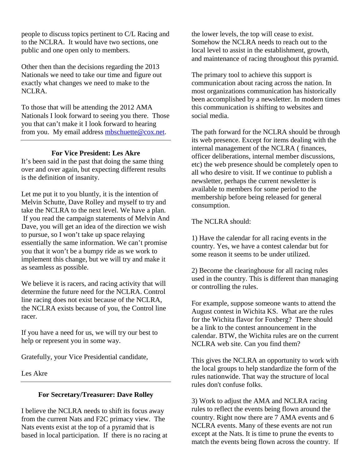people to discuss topics pertinent to C/L Racing and to the NCLRA. It would have two sections, one public and one open only to members.

Other then than the decisions regarding the 2013 Nationals we need to take our time and figure out exactly what changes we need to make to the NCLRA.

To those that will be attending the 2012 AMA Nationals I look forward to seeing you there. Those you that can't make it I look forward to hearing from you. My email address [mbschuette@cox.net.](mailto:mbschuette@cox.net)

# **For Vice President: Les Akre**

It's been said in the past that doing the same thing over and over again, but expecting different results is the definition of insanity.

Let me put it to you bluntly, it is the intention of Melvin Schutte, Dave Rolley and myself to try and take the NCLRA to the next level. We have a plan. If you read the campaign statements of Melvin And Dave, you will get an idea of the direction we wish to pursue, so I won't take up space relaying essentially the same information. We can't promise you that it won't be a bumpy ride as we work to implement this change, but we will try and make it as seamless as possible.

We believe it is racers, and racing activity that will determine the future need for the NCLRA. Control line racing does not exist because of the NCLRA, the NCLRA exists because of you, the Control line racer.

If you have a need for us, we will try our best to help or represent you in some way.

Gratefully, your Vice Presidential candidate,

Les Akre

# **For Secretary/Treasurer: Dave Rolley**

I believe the NCLRA needs to shift its focus away from the current Nats and F2C primacy view. The Nats events exist at the top of a pyramid that is based in local participation. If there is no racing at the lower levels, the top will cease to exist. Somehow the NCLRA needs to reach out to the local level to assist in the establishment, growth, and maintenance of racing throughout this pyramid.

The primary tool to achieve this support is communication about racing across the nation. In most organizations communication has historically been accomplished by a newsletter. In modern times this communication is shifting to websites and social media.

The path forward for the NCLRA should be through its web presence. Except for items dealing with the internal management of the NCLRA ( finances, officer deliberations, internal member discussions, etc) the web presence should be completely open to all who desire to visit. If we continue to publish a newsletter, perhaps the current newsletter is available to members for some period to the membership before being released for general consumption.

The NCLRA should:

1) Have the calendar for all racing events in the country. Yes, we have a contest calendar but for some reason it seems to be under utilized.

2) Become the clearinghouse for all racing rules used in the country. This is different than managing or controlling the rules.

For example, suppose someone wants to attend the August contest in Wichita KS. What are the rules for the Wichita flavor for Foxberg? There should be a link to the contest announcement in the calendar. BTW, the Wichita rules are on the current NCLRA web site. Can you find them?

This gives the NCLRA an opportunity to work with the local groups to help standardize the form of the rules nationwide. That way the structure of local rules don't confuse folks.

3) Work to adjust the AMA and NCLRA racing rules to reflect the events being flown around the country. Right now there are 7 AMA events and 6 NCLRA events. Many of these events are not run except at the Nats. It is time to prune the events to match the events being flown across the country. If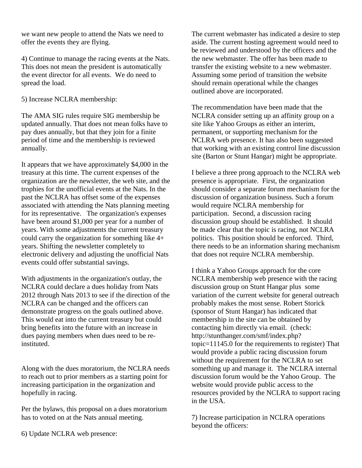we want new people to attend the Nats we need to offer the events they are flying.

4) Continue to manage the racing events at the Nats. This does not mean the president is automatically the event director for all events. We do need to spread the load.

5) Increase NCLRA membership:

The AMA SIG rules require SIG membership be updated annually. That does not mean folks have to pay dues annually, but that they join for a finite period of time and the membership is reviewed annually.

It appears that we have approximately \$4,000 in the treasury at this time. The current expenses of the organization are the newsletter, the web site, and the trophies for the unofficial events at the Nats. In the past the NCLRA has offset some of the expenses associated with attending the Nats planning meeting for its representative. The organization's expenses have been around \$1,000 per year for a number of years. With some adjustments the current treasury could carry the organization for something like 4+ years. Shifting the newsletter completely to electronic delivery and adjusting the unofficial Nats events could offer substantial savings.

With adjustments in the organization's outlay, the NCLRA could declare a dues holiday from Nats 2012 through Nats 2013 to see if the direction of the NCLRA can be changed and the officers can demonstrate progress on the goals outlined above. This would eat into the current treasury but could bring benefits into the future with an increase in dues paying members when dues need to be reinstituted.

Along with the dues moratorium, the NCLRA needs to reach out to prior members as a starting point for increasing participation in the organization and hopefully in racing.

Per the bylaws, this proposal on a dues moratorium has to voted on at the Nats annual meeting.

The current webmaster has indicated a desire to step aside. The current hosting agreement would need to be reviewed and understood by the officers and the the new webmaster. The offer has been made to transfer the existing website to a new webmaster. Assuming some period of transition the website should remain operational while the changes outlined above are incorporated.

The recommendation have been made that the NCLRA consider setting up an affinity group on a site like Yahoo Groups as either an interim, permanent, or supporting mechanism for the NCLRA web presence. It has also been suggested that working with an existing control line discussion site (Barton or Stunt Hangar) might be appropriate.

I believe a three prong approach to the NCLRA web presence is appropriate. First, the organization should consider a separate forum mechanism for the discussion of organization business. Such a forum would require NCLRA membership for participation. Second, a discussion racing discussion group should be established. It should be made clear that the topic is racing, not NCLRA politics. This position should be enforced. Third, there needs to be an information sharing mechanism that does not require NCLRA membership.

I think a Yahoo Groups approach for the core NCLRA membership web presence with the racing discussion group on Stunt Hangar plus some variation of the current website for general outreach probably makes the most sense. Robert Storick (sponsor of Stunt Hangar) has indicated that membership in the site can be obtained by contacting him directly via email. (check: http://stunthanger.com/smf/index.php? topic=11145.0 for the requirements to register) That would provide a public racing discussion forum without the requirement for the NCLRA to set something up and manage it. The NCLRA internal discussion forum would be the Yahoo Group. The website would provide public access to the resources provided by the NCLRA to support racing in the USA.

7) Increase participation in NCLRA operations beyond the officers:

6) Update NCLRA web presence: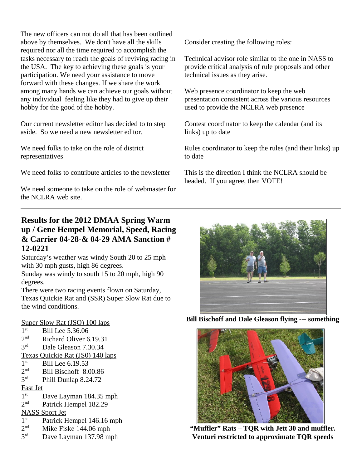The new officers can not do all that has been outlined above by themselves. We don't have all the skills required nor all the time required to accomplish the tasks necessary to reach the goals of reviving racing in the USA. The key to achieving these goals is your participation. We need your assistance to move forward with these changes. If we share the work among many hands we can achieve our goals without any individual feeling like they had to give up their hobby for the good of the hobby.

Our current newsletter editor has decided to to step aside. So we need a new newsletter editor.

We need folks to take on the role of district representatives

We need folks to contribute articles to the newsletter

We need someone to take on the role of webmaster for the NCLRA web site.

Consider creating the following roles:

Technical advisor role similar to the one in NASS to provide critical analysis of rule proposals and other technical issues as they arise.

Web presence coordinator to keep the web presentation consistent across the various resources used to provide the NCLRA web presence

Contest coordinator to keep the calendar (and its links) up to date

Rules coordinator to keep the rules (and their links) up to date

This is the direction I think the NCLRA should be headed. If you agree, then VOTE!

# **Results for the 2012 DMAA Spring Warm up / Gene Hempel Memorial, Speed, Racing & Carrier 04-28-& 04-29 AMA Sanction # 12-0221**

Saturday's weather was windy South 20 to 25 mph with 30 mph gusts, high 86 degrees.

Sunday was windy to south 15 to 20 mph, high 90 degrees.

There were two racing events flown on Saturday, Texas Quickie Rat and (SSR) Super Slow Rat due to the wind conditions.

# Super Slow Rat (JSO) 100 laps

- $1<sup>st</sup>$ Bill Lee 5.36.06  $2<sup>nd</sup>$ Richard Oliver 6.19.31 3rd Dale Gleason 7.30.34 Texas Quickie Rat (JS0) 140 laps  $1<sup>st</sup>$ Bill Lee 6.19.53  $2<sup>nd</sup>$ Bill Bischoff 8.00.86  $3<sup>rd</sup>$ Phill Dunlap 8.24.72 Fast Jet  $1<sup>st</sup>$ Dave Layman 184.35 mph  $2<sub>nd</sub>$ Patrick Hempel 182.29 NASS Sport Jet
- $1<sup>st</sup>$ Patrick Hempel 146.16 mph
- $2<sup>nd</sup>$ Mike Fiske 144.06 mph
- 3<sup>rd</sup> Dave Layman 137.98 mph



**Bill Bischoff and Dale Gleason flying --- something**



**"Muffler" Rats – TQR with Jett 30 and muffler. Venturi restricted to approximate TQR speeds**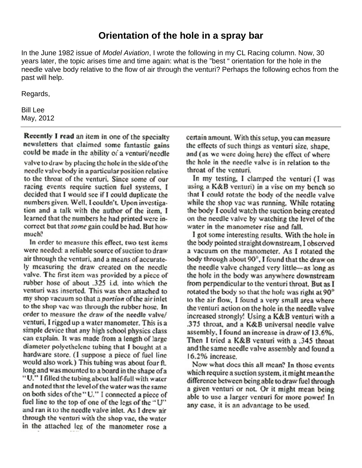# **Orientation of the hole in a spray bar**

In the June 1982 issue of *Model Aviation*, I wrote the following in my CL Racing column. Now, 30 years later, the topic arises time and time again: what is the "best " orientation for the hole in the needle valve body relative to the flow of air through the venturi? Perhaps the following echos from the past will help.

Regards,

Bill Lee May, 2012

Recently I read an item in one of the specialty newsletters that claimed some fantastic gains could be made in the ability of a venturi/needle valve to draw by placing the hole in the side of the needle valve body in a particular position relative to the throat of the venturi. Since some of our racing events require suction fuel systems. I decided that I would see if I could duplicate the numbers given. Well, I couldn't, Upon investigation and a talk with the author of the item. I learned that the numbers he had printed were incorrect but that some gain could be had. But how much?

In order to measure this effect, two test items were needed: a reliable source of suction to draw air through the venturi, and a means of accurately measuring the draw created on the needle valve. The first item was provided by a piece of rubber hose of about .325 i.d. into which the venturi was inserted. This was then attached to my shop vacuum so that a *portion* of the air inlet to the shop vac was through the rubber hose. In order to measure the draw of the needle valve/ venturi, I rigged up a water manometer. This is a simple device that any high school physics class can explain. It was made from a length of large diameter polyethelene tubing that I bought at a hardware store. (I suppose a piece of fuel line would also work.) This tubing was about four ft. long and was mounted to a board in the shape of a "U." I filled the tubing about half-full with water and noted that the level of the water was the same on both sides of the "U." I connected a piece of fuel line to the top of one of the legs of the "U" and ran it to the needle valve inlet. As I drew air through the venturi with the shop vac, the water in the attached leg of the manometer rose a

certain amount. With this setup, you can measure the effects of such things as venturi size, shape, and (as we were doing here) the effect of where the hole in the needle valve is in relation to the throat of the venturi.

In my testing, I clamped the venturi (I was using a K&B venturi) in a vise on my bench so that I could rotate the body of the needle valve while the shop vac was running. While rotating the body I could watch the suction being created on the needle valve by watching the level of the water in the manometer rise and fall.

I got some interesting results. With the hole in the body pointed straight downstream, I observed a vacuum on the manometer. As I rotated the body through about 90°, I found that the draw on the needle valve changed very little—as long as the hole in the body was anywhere downstream from perpendicular to the venturi throat. But as I rotated the body so that the hole was right at 90° to the air flow, I found a very small area where the venturi action on the hole in the needle valve increased strongly! Using a K&B venturi with a .375 throat, and a K&B universal needle valve assembly, I found an increase in draw of 13.6%. Then I tried a K&B venturi with a .345 throat and the same needle valve assembly and found a 16.2% increase

Now what does this all mean? In those events which require a suction system, it might mean the difference between being able to draw fuel through a given venturi or not. Or it might mean being able to use a larger venturi for more power! In any case, it is an advantage to be used.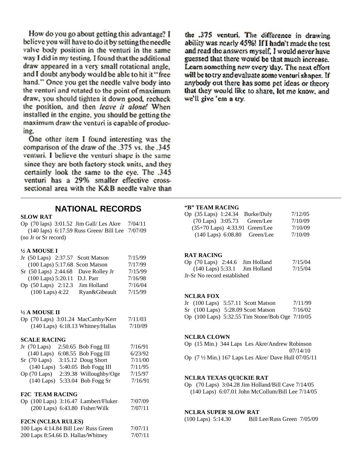How do you go about getting this advantage? I believe you will have to do it by setting the needle valve body position in the venturi in the same way I did in my testing. I found that the additional draw appeared in a very small rotational angle. and I doubt anybody would be able to hit it "free hand." Once you get the needle valve body into the venturi and rotated to the point of maximum draw, you should tighten it down good, recheck the position, and then leave it alone! When installed in the engine, you should be getting the maximum draw the venturi is capable of producing.

One other item I found interesting was the comparison of the draw of the .375 vs. the .345 venturi. I believe the venturi shape is the same since they are both factory stock units, and they certainly look the same to the eye. The .345 venturi has a 29% smaller effective crosssectional area with the K&B needle valve than the .375 venturi. The difference in drawing ability was nearly 45%! If I hadn't made the test and read the answers myself. I would never have guessed that there would be that much increase. Learn something new every day. The next effort will be to try and evaluate some venturi shapes. If anybody out there has some pet ideas or theory that they would like to share, let me know, and we'll give 'em a try.

# **NATIONAL RECORDS**

### **SLOW RAT**

Op (70 laps) 3:01.52 Jim Gall/ Les Akre 7/04/11 (140 laps) 6:17.59 Russ Green/ Bill Lee 7/07/09 (no Jr or Sr record)

### **½ A MOUSE I**

|                              | Jr (50 Laps) 2:37.57 Scott Matson   | 7/15/99 |
|------------------------------|-------------------------------------|---------|
|                              | (100 Laps) 5:17.68 Scott Matson     | 7/17/99 |
|                              | Sr (50 Laps) 2:44.68 Dave Rolley Jr | 7/15/99 |
| (100 Laps) 5:20.11 D.J. Parr |                                     | 7/16/98 |
| Op (50 Laps) 2:12.3          | Jim Holland                         | 7/16/04 |
| $(100$ Laps) $4:22$          | Ryan&Gibeault                       | 7/15/99 |

### **½ A MOUSE II**

| Op (70 Laps) 3:01.24 MacCarthy/Kerr   | 7/11/03 |
|---------------------------------------|---------|
| $(140$ Laps) $6:18.13$ Whitney/Hallas | 7/10/09 |

### **SCALE RACING**

| Jr $(70 \text{ Laps})$ | 2:50.65 Bob Fogg III   | 7/16/91 |  |  |  |
|------------------------|------------------------|---------|--|--|--|
| $(140$ Laps)           | 6:08.55 Bob Fogg III   | 6/23/92 |  |  |  |
| $Sr$ (70 Laps)         | 3:15.12 Doug Short     | 7/11/00 |  |  |  |
| $(140$ Laps)           | 5:40.05 Bob Fogg III   | 7/11/95 |  |  |  |
| $Op(70 \text{ Laps})$  | 2:39.38 Willoughby/Oge | 7/15/97 |  |  |  |
| $(140$ Laps)           | 5:33.04 Bob Fogg Sr    | 7/16/91 |  |  |  |
|                        |                        |         |  |  |  |
| <b>F2C TEAM RACING</b> |                        |         |  |  |  |

|  | Op (100 Laps) 3:16.47 Lambert/Fluker | 7/07/09 |
|--|--------------------------------------|---------|
|  | $(200$ Laps) $6:43.80$ Fisher/Wilk   | 7/07/11 |

### **F2CN (NCLRA RULES)**

| 100 Laps 4:14.84 Bill Lee/ Russ Green | 7/07/11 |
|---------------------------------------|---------|
| 200 Laps 8:54.66 D. Hallas/Whitney    | 7/07/11 |

### **"B" TEAM RACING**

| Op (35 Laps) 1:24.34 Burke/Duly | 7/12/05 |
|---------------------------------|---------|
| (70 Laps) 3:05.73 Green/Lee     | 7/10/09 |
| (35+70 Laps) 4:33.91 Green/Lee  | 7/10/09 |
| (140 Laps) 6:08.80 Green/Lee    | 7/10/09 |

### **RAT RACING**

| Op $(70 \text{ Laps})$ 2:44.6 Jim Holland | 7/15/04 |
|-------------------------------------------|---------|
| $(140$ Laps) 5:33.1 Jim Holland           | 7/15/04 |
| Jr-Sr No record established               |         |

### **NCLRA FOX**

|  | Jr (100 Laps) 5:57.11 Scott Matson              | 7/11/99 |
|--|-------------------------------------------------|---------|
|  | Sr (100 Laps) 5:28.09 Scott Matson              | 7/16/02 |
|  | Op (100 Laps) 5:32.55 Tim Stone/Bob Oge 7/10/05 |         |

#### **NCLRA CLOWN**

|  |  | Op (15 Min.) 344 Laps Les Akre/Andrew Robinson                  |          |
|--|--|-----------------------------------------------------------------|----------|
|  |  |                                                                 | 07/14/10 |
|  |  | Op $(7 \frac{1}{2}$ Min.) 167 Laps Les Akre/ Dave Hull 07/05/11 |          |

### **NCLRA TEXAS QUICKIE RAT**

Op (70 Laps) 3:04.28 Jim Holland/Bill Cave 7/14/05 (140 Laps) 6:07.01 John McCollum/Bill Lee 7/14/05

### **NCLRA SUPER SLOW RAT**

| $(100$ Laps) 5:14.30 | Bill Lee/Russ Green 7/05/09 |  |
|----------------------|-----------------------------|--|
|----------------------|-----------------------------|--|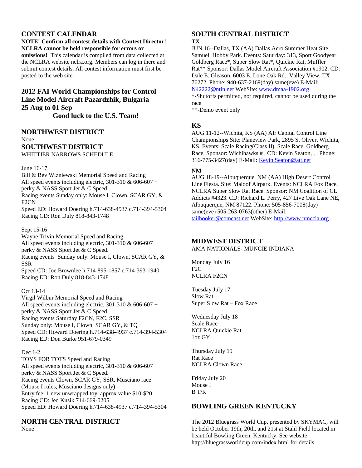# **CONTEST CALENDAR**

### **NOTE! Confirm all contest details with Contest Director! NCLRA cannot be held responsible for errors or**

**omissions!** This calendar is compiled from data collected at the NCLRA website nclra.org. Members can log in there and submit contest details. All contest information must first be posted to the web site.

# **2012 FAI World Championships for Control Line Model Aircraft Pazardzhik, Bulgaria 25 Aug to 01 Sep**

**Good luck to the U.S. Team!**

### **NORTHWEST DISTRICT** None

# **SOUTHWEST DISTRICT**

WHITTIER NARROWS SCHEDULE

June 16-17

Bill & Bev Wizniewski Memorial Speed and Racing All speed events including electric, 301-310 & 606-607 + perky & NASS Sport Jet & C Speed. Racing events Sunday only: Mouse I, Clown, SCAR GY, & F2CN Speed ED: Howard Doering h.714-638-4937 c.714-394-5304

Racing CD: Ron Duly 818-843-1748

## Sept 15-16

Wayne Trivin Memorial Speed and Racing All speed events including electric, 301-310 & 606-607 + perky & NASS Sport Jet & C Speed. Racing events Sunday only: Mouse I, Clown, SCAR GY, & SSR Speed CD: Joe Brownlee h.714-895-1857 c.714-393-1940 Racing ED: Ron Duly 818-843-1748

## Oct 13-14

Virgil Wilbur Memorial Speed and Racing All speed events including electric, 301-310 & 606-607 + perky & NASS Sport Jet & C Speed. Racing events Saturday F2CN, F2C, SSR Sunday only: Mouse I, Clown, SCAR GY, & TQ Speed CD: Howard Doering h.714-638-4937 c.714-394-5304 Racing ED: Don Burke 951-679-0349

## Dec 1-2

TOYS FOR TOTS Speed and Racing All speed events including electric, 301-310 & 606-607 + perky & NASS Sport Jet & C Speed. Racing events Clown, SCAR GY, SSR, Musciano race (Mouse I rules, Musciano designs only) Entry fee: 1 new unwrapped toy, approx value \$10-\$20. Racing CD: Jed Kusik 714-669-0205 Speed ED: Howard Doering h.714-638-4937 c.714-394-5304

# **NORTH CENTRAL DISTRICT**

None

# **SOUTH CENTRAL DISTRICT**

### **TX**

JUN 16--Dallas, TX (AA) Dallas Aero Summer Heat Site: Samuell Hobby Park. Events: Saturday: 313, Sport Goodyear, Goldberg Race\*, Super Slow Rat\*, Quickie Rat, Muffler Rat\*\* Sponsor: Dallas Model Aircraft Association #1902. CD: Dale E. Gleason, 6003 E. Lone Oak Rd., Valley View, TX 76272. Phone: 940-637-2169(day) same(eve) E-Mail: [N42222@ntin.net](mailto:N42222@ntin.net) WebSite: [www.dmaa-1902.org](http://www.dmaa-1902.org/)

\*-Shutoffs permitted, not required, cannot be used during the race

\*\*-Demo event only

# **KS**

AUG 11-12--Wichita, KS (AA) AIr Capital Control Line Championships Site: Planeview Park, 2895 S. Oliver, Wichita, KS. Events: Scale Racing(Class II), Scale Race, Goldberg Race. Sponsor: Wichihawks # . CD: Kevin Seaton, , . Phone: 316-775-3427(day) E-Mail: [Kevin.Seaton@att.net](mailto:Kevin.Seaton@att.net)

# **NM**

AUG 18-19--Albuquerque, NM (AA) High Desert Control Line Fiesta. Site: Maloof Airpark. Events: NCLRA Fox Race, NCLRA Super Slow Rat Race. Sponsor: NM Coalition of CL Addicts #4323. CD: Richard L. Perry, 427 Live Oak Lane NE, Albuquerque, NM 87122. Phone: 505-856-7008(day) same(eve) 505-263-0763(other) E-Mail: [tailhooker@comcast.net](mailto:tailhooker@comcast.net) WebSite: [http://www.nmccla.org](http://www.nmccla.org/)

# **MIDWEST DISTRICT**

AMA NATIONALS- MUNCIE INDIANA

Monday July 16 F2C NCLRA F2CN

Tuesday July 17 Slow Rat Super Slow Rat – Fox Race

Wednesday July 18 Scale Race NCLRA Quickie Rat 1oz GY

Thursday July 19 Rat Race NCLRA Clown Race

Friday July 20 Mouse I B T/R

# **BOWLING GREEN KENTUCKY**

The 2012 Bluegrass World Cup, presented by SKYMAC, will be held October 19th, 20th, and 21st at Stahl Field located in beautiful Bowling Green, Kentucky. See website http://bluegrassworldcup.com/index.html for details.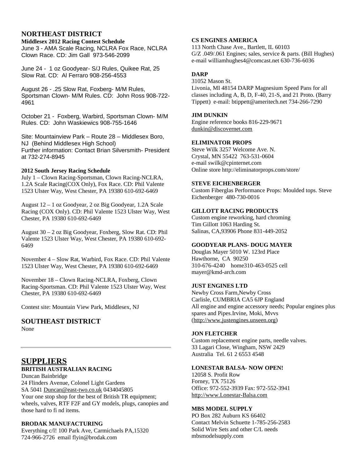# **NORTHEAST DISTRICT**

**Middlesex 2012 Racing Contest Schedule** June 3 - AMA Scale Racing, NCLRA Fox Race, NCLRA Clown Race. CD: Jim Gall 973-546-2099

June 24 - 1 oz Goodyear- S/J Rules, Quikee Rat, 25 Slow Rat. CD: Al Ferraro 908-256-4553

August 26 - .25 Slow Rat, Foxberg- M/M Rules, Sportsman Clown- M/M Rules. CD: John Ross 908-722- 4961

October 21 - Foxberg, Warbird, Sportsman Clown- M/M Rules. CD: John Waskiewics 908-755-1646

Site: Mountainview Park – Route 28 – Middlesex Boro, NJ (Behind Middlesex High School) Further information: Contact Brian Silversmith- President at 732-274-8945

## **2012 South Jersey Racing Schedule**

July 1 – Clown Racing-Sportsman, Clown Racing-NCLRA, 1.2A Scale Racing(COX Only), Fox Race. CD: Phil Valente 1523 Ulster Way, West Chester, PA 19380 610-692-6469

August 12 – 1 oz Goodyear, 2 oz Big Goodyear, 1.2A Scale Racing (COX Only). CD: Phil Valente 1523 Ulster Way, West Chester, PA 19380 610-692-6469

August 30 – 2 oz Big Goodyear, Foxberg, Slow Rat. CD: Phil Valente 1523 Ulster Way, West Chester, PA 19380 610-692- 6469

November 4 – Slow Rat, Warbird, Fox Race. CD: Phil Valente 1523 Ulster Way, West Chester, PA 19380 610-692-6469

November 18 – Clown Racing-NCLRA, Foxberg, Clown Racing-Sportsman. CD: Phil Valente 1523 Ulster Way, West Chester, PA 19380 610-692-6469

Contest site: Mountain View Park, Middlesex, NJ

# **SOUTHEAST DISTRICT**

None

# **SUPPLIERS BRITISH AUSTRALIAN RACING**

Duncan Bainbridge 24 Flinders Avenue, Colonel Light Gardens SA 5041 [Duncan@east-two.co.uk](mailto:Duncan@east-two.co.uk) 0434045805 Your one stop shop for the best of British TR equipment; wheels, valves, RTF F2F and GY models, plugs, canopies and those hard to fi nd items.

# **BRODAK MANUFACTURING**

Everything c/l! 100 Park Ave, Carmichaels PA,15320 724-966-2726 email flyin@brodak.com

# **CS ENGINES AMERICA**

113 North Chase Ave., Bartlett, IL 60103 G/Z .049/.061 Engines; sales, service & parts. (Bill Hughes) e-mail williamhughes4@comcast.net 630-736-6036

# **DARP**

31052 Mason St.

Livonia, MI 48154 DARP Magnesium Speed Pans for all classes including A, B, D, F-40, 21-S, and 21 Proto. (Barry Tippett) e-mail: btippett@ameritech.net 734-266-7290

### **JIM DUNKIN**

Engine reference books 816-229-9671 [dunkin@discovernet.com](mailto:dunkin@discovernet.com)

## **ELIMINATOR PROPS**

Steve Wilk 3257 Welcome Ave. N. Crystal, MN 55422 763-531-0604 e-mail swilk@cpinternet.com Online store http://eliminatorprops.com/store/

### **STEVE EICHENBERGER**

Custom Fiberglas Performance Props: Moulded tops. Steve Eichenberger 480-730-0016

### **GILLOTT RACING PRODUCTS**

Custom engine reworking, hard chroming Tim Gillott 1063 Harding St. Salinas, CA,93906 Phone 831-449-2052

## **GOODYEAR PLANS- DOUG MAYER**

Douglas Mayer 5010 W. 123rd Place Hawthorne, CA 90250 310-676-4240 home310-463-0525 cell mayer@kmd-arch.com

# **JUST ENGINES LTD**

Newby Cross Farm,Newby Cross Carlisle, CUMBRIA CA5 6JP England All engine and engine accessory needs; Popular engines plus spares and Pipes.Irvine, Moki, Mvvs [\(http://www.justengines.unseen.org\)](http://www.justengines.unseen.org/)

## **JON FLETCHER**

Custom replacement engine parts, needle valves. 33 Lagari Close, Wingham, NSW 2429 Australia Tel. 61 2 6553 4548

### **LONESTAR BALSA- NOW OPEN!**

12058 S. Profit Row Forney, TX 75126 Office: 972-552-3939 Fax: 972-552-3941 [http://www.Lonestar-Balsa.com](http://www.Lonestar-Balsa.com/)

## **MBS MODEL SUPPLY**

PO Box 282 Auburn KS 66402 Contact Melvin Schuette 1-785-256-2583 Solid Wire Sets and other C/L needs mbsmodelsupply.com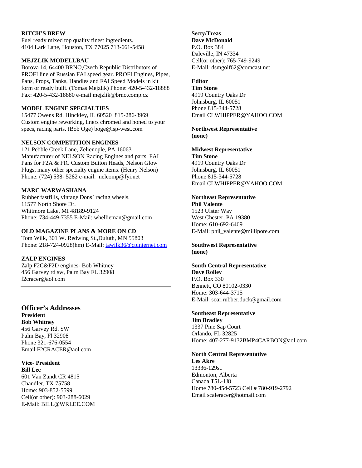### **RITCH'S BREW**

Fuel ready mixed top quality finest ingredients. 4104 Lark Lane, Houston, TX 77025 713-661-5458

### **MEJZLIK MODELLBAU**

Borova 14, 64400 BRNO,Czech Republic Distributors of PROFI line of Russian FAI speed gear. PROFI Engines, Pipes, Pans, Props, Tanks, Handles and FAI Speed Models in kit form or ready built. (Tomas Mejzlik) Phone: 420-5-432-18888 Fax: 420-5-432-18880 e-mail mejzlik@brno.comp.cz

### **MODEL ENGINE SPECIALTIES**

15477 Owens Rd, Hinckley, IL 60520 815-286-3969 Custom engine reworking, liners chromed and honed to your specs, racing parts. (Bob Oge) boge@isp-west.com

### **NELSON COMPETITION ENGINES**

121 Pebble Creek Lane, Zelienople, PA 16063 Manufacturer of NELSON Racing Engines and parts, FAI Pans for F2A & FIC Custom Button Heads, Nelson Glow Plugs, many other specialty engine items. (Henry Nelson) Phone: (724) 538- 5282 e-mail: nelcomp@fyi.net

## **MARC WARWASHANA**

Rubber fastfills, vintage Dons' racing wheels. 11577 North Shore Dr. Whitmore Lake, MI 48189-9124 Phone: 734-449-7355 E-Mail: whellieman@gmail.com

## **OLD MAGAZINE PLANS & MORE ON CD**

Tom Wilk, 301 W. Redwing St.,Duluth, MN 55803 Phone: 218-724-0928(hm) E-Mail: [tawilk36@cpinternet.com](mailto:tawilk36@cpinternet.com)

## **ZALP ENGINES**

Zalp F2C&F2D engines- Bob Whitney 456 Garvey rd sw, Palm Bay FL 32908 f2cracer@aol.com

## **Officer's Addresses**

**President Bob Whitney** 456 Garvey Rd. SW Palm Bay, Fl 32908 Phone 321-676-0554 Email F2CRACER@aol.com

**Vice- President Bill Lee** 601 Van Zandt CR 4815 Chandler, TX 75758 Home: 903-852-5599 Cell(or other): 903-288-6029 E-Mail: BILL@WRLEE.COM

#### **Secty/Treas Dave McDonald**

P.O. Box 384 Daleville, IN 47334 Cell(or other): 765-749-9249 E-Mail: dsmgolf62@comcast.net

# **Editor**

**Tim Stone** 4919 Country Oaks Dr Johnsburg, IL 60051 Phone 815-344-5728 Email CLWHIPPER@YAHOO.COM

**Northwest Representative (none)**

# **Midwest Representative**

**Tim Stone** 4919 Country Oaks Dr Johnsburg, IL 60051 Phone 815-344-5728 Email CLWHIPPER@YAHOO.COM

# **Northeast Representative**

**Phil Valente** 1523 Ulster Way West Chester, PA 19380 Home: 610-692-6469 E-Mail: phil\_valente@millipore.com

**Southwest Representative (none)**

### **South Central Representative Dave Rolley**

P.O. Box 330 Bennett, CO 80102-0330 Home: 303-644-3715 E-Mail: soar.rubber.duck@gmail.com

### **Southeast Representative**

**Jim Bradley** 1337 Pine Sap Court Orlando, FL 32825 Home: 407-277-9132BMP4CARBON@aol.com

## **North Central Representative**

**Les Akre** 13336-129st. Edmonton, Alberta Canada T5L-1J8 Home 780-454-5723 Cell # 780-919-2792 Email scaleracer@hotmail.com